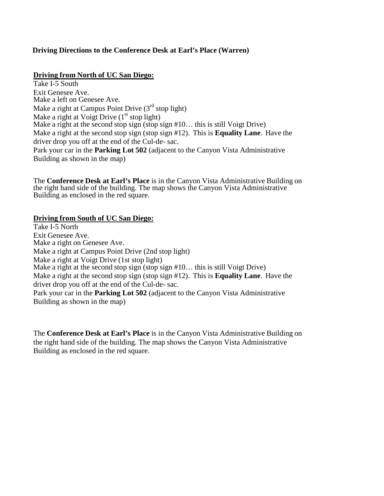## **Driving Directions to the Conference Desk at Earl's Place (Warren)**

## **Driving from North of UC San Diego:**

Take I-5 South Exit Genesee Ave. Make a left on Genesee Ave. Make a right at Campus Point Drive  $(3<sup>rd</sup> stop light)$ Make a right at Voigt Drive  $(1<sup>st</sup> stop light)$ Make a right at the second stop sign (stop sign #10... this is still Voigt Drive) Make a right at the second stop sign (stop sign #12). This is **Equality Lane**. Have the driver drop you off at the end of the Cul-de- sac. Park your car in the **Parking Lot 502** (adjacent to the Canyon Vista Administrative Building as shown in the map)

The **Conference Desk at Earl's Place** is in the Canyon Vista Administrative Building on the right hand side of the building. The map shows the Canyon Vista Administrative Building as enclosed in the red square.

## **Driving from South of UC San Diego:**

Take I-5 North Exit Genesee Ave. Make a right on Genesee Ave. Make a right at Campus Point Drive (2nd stop light) Make a right at Voigt Drive (1st stop light) Make a right at the second stop sign (stop sign #10... this is still Voigt Drive) Make a right at the second stop sign (stop sign #12). This is **Equality Lane**. Have the driver drop you off at the end of the Cul-de- sac. Park your car in the **Parking Lot 502** (adjacent to the Canyon Vista Administrative Building as shown in the map)

The **Conference Desk at Earl's Place** is in the Canyon Vista Administrative Building on the right hand side of the building. The map shows the Canyon Vista Administrative Building as enclosed in the red square.